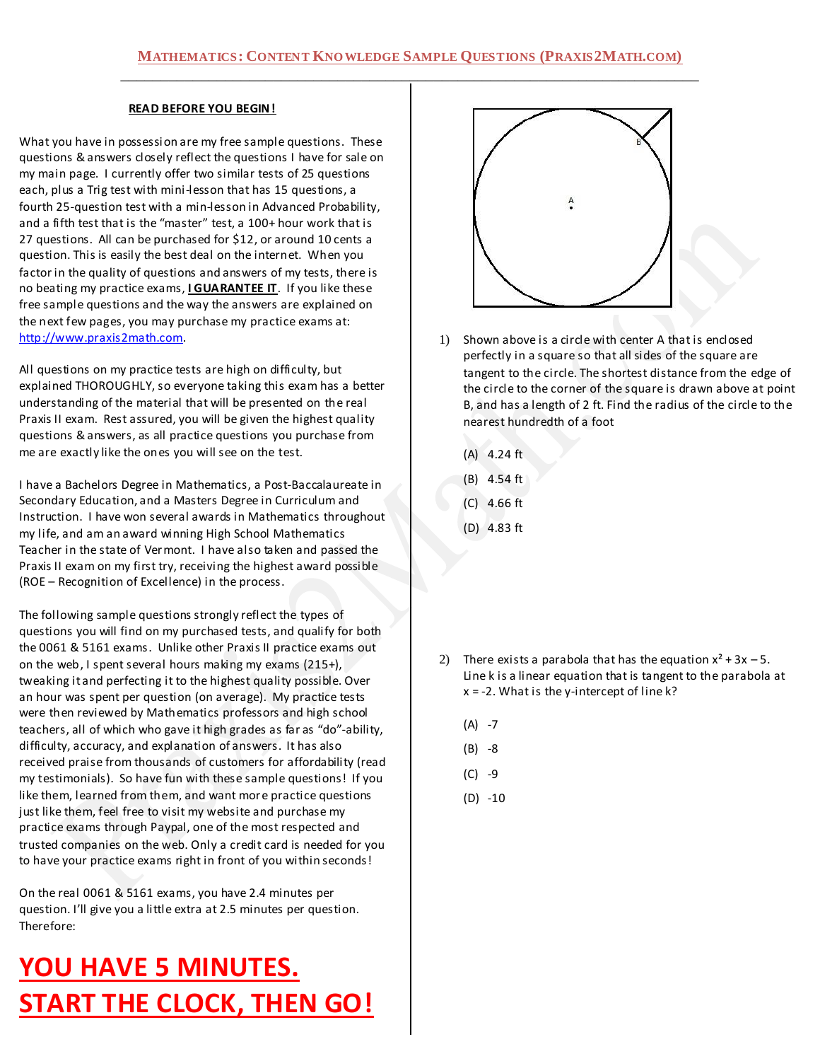#### **READ BEFORE YOU BEGIN!**

What you have in possession are my free sample questions. These questions & answers closely reflect the questions I have for sale on my main page. I currently offer two similar tests of 25 questions each, plus a Trig test with mini-lesson that has 15 questions, a fourth 25-question test with a min-lesson in Advanced Probability, and a fifth test that is the "master" test, a 100+ hour work that is 27 questions. All can be purchased for \$12, or around 10 cents a question. This is easily the best deal on the internet. When you factor in the quality of questions and answers of my tests, there is no beating my practice exams, **I GUARANTEE IT**. If you like these free sample questions and the way the answers are explained on the next few pages, you may purchase my practice exams at: [http://www.praxis2math.com.](http://www.praxis2math.com/)

All questions on my practice tests are high on difficulty, but explained THOROUGHLY, so everyone taking this exam has a better understanding of the material that will be presented on the real Praxis II exam. Rest assured, you will be given the highest quality questions & answers, as all practice questions you purchase from me are exactly like the ones you will see on the test.

I have a Bachelors Degree in Mathematics, a Post-Baccalaureate in Secondary Education, and a Masters Degree in Curriculum and Instruction. I have won several awards in Mathematics throughout my life, and am an award winning High School Mathematics Teacher in the state of Vermont. I have also taken and passed the Praxis II exam on my first try, receiving the highest award possible (ROE – Recognition of Excellence) in the process.

The following sample questions strongly reflect the types of questions you will find on my purchased tests, and qualify for both the 0061 & 5161 exams. Unlike other Praxis II practice exams out on the web, I spent several hours making my exams (215+), tweaking it and perfecting it to the highest quality possible. Over an hour was spent per question (on average). My practice tests were then reviewed by Mathematics professors and high school teachers, all of which who gave it high grades as far as "do"-ability, difficulty, accuracy, and explanation of answers. It has also received praise from thousands of customers for affordability (read my testimonials). So have fun with these sample questions! If you like them, learned from them, and want more practice questions just like them, feel free to visit my website and purchase my practice exams through Paypal, one of the most respected and trusted companies on the web. Only a credit card is needed for you to have your practice exams right in front of you within seconds!

On the real 0061 & 5161 exams, you have 2.4 minutes per question. I'll give you a little extra at 2.5 minutes per question. Therefore:

# **YOU HAVE 5 MINUTES. START THE CLOCK, THEN GO!**



- 1) Shown above is a circle with center A that is enclosed perfectly in a square so that all sides of the square are tangent to the circle. The shortest distance from the edge of the circle to the corner of the square is drawn above at point B, and has a length of 2 ft. Find the radius of the circle to the nearest hundredth of a foot
	- (A) 4.24 ft
	- (B) 4.54 ft
	- (C) 4.66 ft
	- (D) 4.83 ft

- 2) There exists a parabola that has the equation  $x^2 + 3x 5$ . Line k is a linear equation that is tangent to the parabola at  $x = -2$ . What is the y-intercept of line k?
	- $(A) -7$
	- $(B) -8$
	- $(C) -9$
	- (D) -10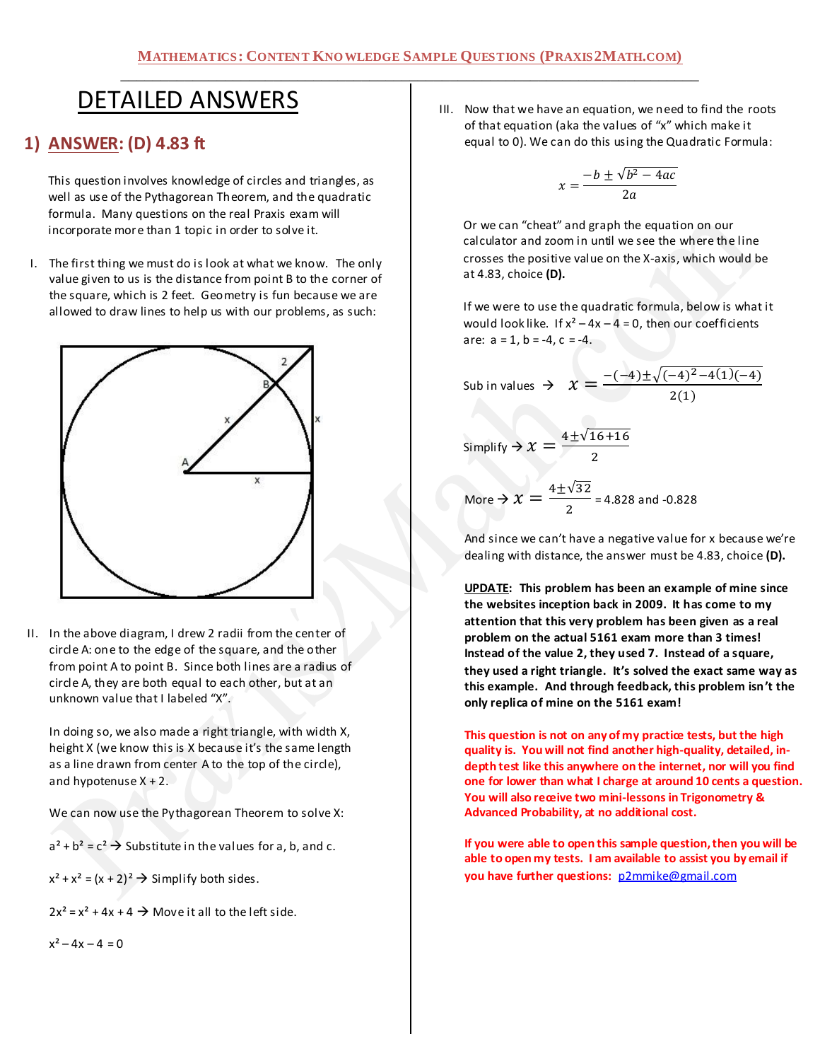## DETAILED ANSWERS

## **1) ANSWER: (D) 4.83 ft**

This question involves knowledge of circles and triangles, as well as use of the Pythagorean Theorem, and the quadratic formula. Many questions on the real Praxis exam will incorporate more than 1 topic in order to solve it.

I. The first thing we must do is look at what we know. The only value given to us is the distance from point B to the corner of the square, which is 2 feet. Geometry is fun because we are allowed to draw lines to help us with our problems, as such:



II. In the above diagram, I drew 2 radii from the center of circle A: one to the edge of the square, and the other from point A to point B. Since both lines are a radius of circle A, they are both equal to each other, but at an unknown value that I labeled "X".

In doing so, we also made a right triangle, with width X, height X (we know this is X because it's the same length as a line drawn from center A to the top of the circle), and hypotenuse X + 2.

We can now use the Pythagorean Theorem to solve X:

 $a^2 + b^2 = c^2$   $\rightarrow$  Substitute in the values for a, b, and c.

 $x^{2} + x^{2} = (x + 2)^{2} \rightarrow$  Simplify both sides.

 $2x^2 = x^2 + 4x + 4 \rightarrow$  Move it all to the left side.

 $x^2 - 4x - 4 = 0$ 

III. Now that we have an equation, we need to find the roots of that equation (aka the values of "x" which make it equal to 0). We can do this using the Quadratic Formula:

$$
x = \frac{-b \pm \sqrt{b^2 - 4ac}}{2a}
$$

Or we can "cheat" and graph the equation on our calculator and zoom in until we see the where the line crosses the positive value on the X-axis, which would be at 4.83, choice **(D).**

If we were to use the quadratic formula, below is what it would look like. If  $x^2 - 4x - 4 = 0$ , then our coefficients are:  $a = 1$ ,  $b = -4$ ,  $c = -4$ .

Sub in values 
$$
\rightarrow x = \frac{\overline{\phantom{a}}}{}
$$

 $\overline{c}$  $\overline{\mathbf{c}}$ 

Simplify 
$$
\Rightarrow
$$
  $\chi = \frac{4 \pm \sqrt{16 + 16}}{2}$ 

More 
$$
\Rightarrow
$$
  $\chi = \frac{4 \pm \sqrt{32}}{2} = 4.828$  and -0.828

And since we can't have a negative value for x because we're dealing with distance, the answer must be 4.83, choice **(D).**

**UPDATE: This problem has been an example of mine since the websites inception back in 2009. It has come to my attention that this very problem has been given as a real problem on the actual 5161 exam more than 3 times! Instead of the value 2, they used 7. Instead of a square, they used a right triangle. It's solved the exact same way as this example. And through feedback, this problem isn't the only replica of mine on the 5161 exam!**

**This question is not on any of my practice tests, but the high quality is. You will not find another high-quality, detailed, indepth test like this anywhere on the internet, nor will you find one for lower than what I charge at around 10 cents a question. You will also receive two mini-lessons in Trigonometry & Advanced Probability, at no additional cost.**

**If you were able to open this sample question, then you will be able to open my tests. I am available to assist you by email if you have further questions:** [p2mmike@gmail.com](mailto:p2mmike@gmail.com)